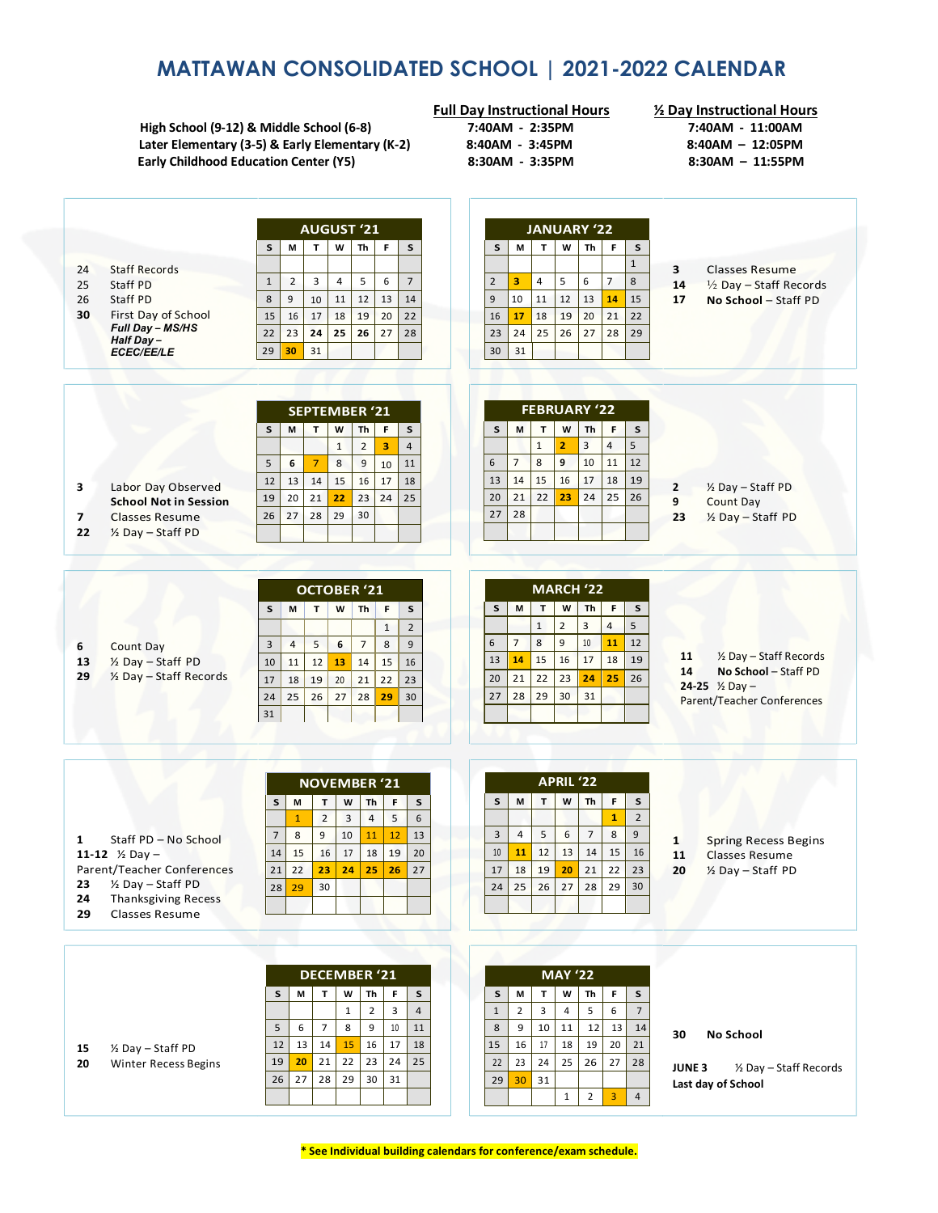# **MATTAWAN CONSOLIDATED SCHOOL | 2021-2022 CALENDAR**

**High School (9-12) & Middle School (6-8) 7:40AM - 2:35PM 7:40AM - 11:00AM Later Elementary (3-5) & Early Elementary (K-2) 8:40AM - 3:45PM 8:40AM – 12:05PM Early Childhood Education Center (Y5)** 

**Full Day Instructional Hours ½ Day Instructional Hours**

|                                         | <b>AUGUST '21</b>                                                      | <b>JANUARY '22</b>                                                                |                                                                            |
|-----------------------------------------|------------------------------------------------------------------------|-----------------------------------------------------------------------------------|----------------------------------------------------------------------------|
|                                         | F<br><b>Th</b><br>S<br>M<br>T<br>W<br>S                                | T<br>F<br>S<br>M<br>W<br>Th<br>S                                                  |                                                                            |
|                                         |                                                                        | $\mathbf 1$                                                                       |                                                                            |
| <b>Staff Records</b><br>24              | $\overline{2}$<br>3<br>5<br>$\overline{7}$<br>$\mathbf{1}$<br>4<br>6   | $\overline{2}$<br>3<br>5<br>6<br>$\overline{7}$<br>8<br>4                         | 3<br><b>Classes Resume</b>                                                 |
| Staff PD<br>25                          |                                                                        |                                                                                   | 14<br>$\frac{1}{2}$ Day – Staff Records                                    |
| 26<br>Staff PD                          | 12<br>13<br>14<br>8<br>9<br>10<br>11                                   | $\overline{9}$<br>10<br>11<br>12<br>13<br>14<br>15                                | 17<br>No School - Staff PD                                                 |
| First Day of School<br>30               | 17<br>18<br>19<br>20<br>15<br>16<br>22                                 | 21<br>16<br>17<br>18<br>19<br>20<br>22                                            |                                                                            |
| Full Day - MS/HS<br>Half Day-           | 25<br>24<br>26<br>27<br>23<br>28<br>22                                 | 24<br>25<br>29<br>23<br>26<br>27<br>28                                            |                                                                            |
| <b>ECEC/EE/LE</b>                       | 31<br>29<br>30                                                         | 30<br>31                                                                          |                                                                            |
|                                         |                                                                        |                                                                                   |                                                                            |
|                                         |                                                                        |                                                                                   |                                                                            |
|                                         | <b>SEPTEMBER '21</b>                                                   | FEBRUARY '22                                                                      |                                                                            |
|                                         | s<br>M<br>T<br>W<br>Th<br>F<br>S                                       | $\mathbf{T}$<br>F<br>$\sf s$<br>S<br>M<br>W<br>Th                                 |                                                                            |
|                                         | $\overline{2}$<br>3<br>$\mathbf{1}$<br>$\overline{4}$                  | $\mathsf 3$<br>5<br>$\overline{2}$<br>$\overline{4}$<br>$\mathbf{1}$              |                                                                            |
|                                         |                                                                        | $\overline{7}$<br>8<br>9<br>10<br>12<br>6                                         |                                                                            |
|                                         | 5<br>$\overline{7}$<br>8<br>9<br>11<br>6<br>10                         | 11                                                                                |                                                                            |
| Labor Day Observed<br>3                 | 17<br>14<br>15<br>16<br>18<br>12<br>13                                 | 13<br>14<br>15<br>16<br>17<br>18<br>19                                            | 1/2 Day - Staff PD<br>2                                                    |
| <b>School Not in Session</b>            | 21<br>22<br>23<br>24<br>25<br>20<br>19                                 | 21<br>23<br>24<br>25<br>26<br>20<br>22                                            | 9<br>Count Day                                                             |
| <b>Classes Resume</b><br>7              | 29<br>28<br>30<br>26<br>27                                             | 28<br>27                                                                          | 23<br>1/2 Day - Staff PD                                                   |
| 1/2 Day - Staff PD<br>22                |                                                                        |                                                                                   |                                                                            |
|                                         |                                                                        |                                                                                   |                                                                            |
|                                         |                                                                        |                                                                                   |                                                                            |
|                                         | <b>OCTOBER '21</b>                                                     | <b>MARCH '22</b>                                                                  |                                                                            |
|                                         | M<br>$\mathbf{T}$<br>W<br>Th<br>E<br>$\mathsf{s}$<br>S                 | S<br>M<br>T<br>W<br>Th<br>F<br>S                                                  |                                                                            |
|                                         |                                                                        | $\overline{2}$<br>3<br>$\overline{4}$<br>5<br>$\mathbf 1$                         |                                                                            |
|                                         | $\overline{2}$<br>$\mathbf{1}$                                         |                                                                                   |                                                                            |
| Count Day<br>6                          | 5<br>$\overline{7}$<br>8<br>$\overline{9}$<br>6<br>3<br>$\overline{4}$ | $\overline{7}$<br>8<br>9<br>$10\,$<br>11<br>6<br>12                               |                                                                            |
| 1/ <sub>2</sub> Day - Staff PD<br>13    | 12<br>15<br>16<br>11<br>13<br>14<br>10                                 | 15<br>16<br>17<br>18<br>19<br>13<br>14                                            | 1/2 Day - Staff Records<br>11                                              |
| 29<br>$\frac{1}{2}$ Day – Staff Records | 20<br>21<br>22<br>17<br>18<br>19<br>23                                 | 21<br>20<br>22<br>23<br>24<br>25<br>26                                            | 14<br>No School - Staff PD                                                 |
|                                         | 25<br>26<br>27<br>28<br>29<br>30<br>24                                 | 28<br>29<br>31<br>30<br>27                                                        | 24-25 $\frac{1}{2}$ Day -                                                  |
|                                         | 31                                                                     |                                                                                   | Parent/Teacher Conferences                                                 |
|                                         |                                                                        |                                                                                   |                                                                            |
|                                         |                                                                        |                                                                                   |                                                                            |
|                                         |                                                                        |                                                                                   |                                                                            |
|                                         | <b>NOVEMBER '21</b>                                                    | APRIL '22                                                                         |                                                                            |
|                                         | M<br>$\mathbf T$<br>W<br>Th<br>F<br>s<br>S                             | F<br>s<br>W<br>Th<br>${\sf s}$<br>M<br>T                                          |                                                                            |
|                                         | 5<br>$\overline{2}$<br>3<br>6<br>$\mathbf{1}$<br>$\overline{4}$        | $\overline{2}$<br>$\mathbf{1}$                                                    |                                                                            |
| Staff PD - No School<br>1               | 8<br>9<br>10<br>12<br>13<br>$\overline{7}$<br>11                       | $\overline{3}$<br>5<br>$\overline{7}$<br>8<br>9<br>$\overline{4}$<br>6            |                                                                            |
| 11-12 $\frac{1}{2}$ Day -               | 17<br>19<br>14<br>15<br>16<br>18<br>20                                 | 10<br>12<br>15<br>16<br>11<br>13<br>14                                            | <b>Spring Recess Begins</b><br>$\mathbf{1}$<br>11<br><b>Classes Resume</b> |
| Parent/Teacher Conferences              | 21<br>27<br>22<br>24<br>25<br>26                                       | 18<br>21<br>17<br>19<br>20<br>22<br>23                                            |                                                                            |
| 1/2 Day - Staff PD<br>23                | 23                                                                     |                                                                                   | 20<br>1/ <sub>2</sub> Day - Staff PD                                       |
| 24<br><b>Thanksgiving Recess</b>        | 30<br>28<br>29                                                         | 28<br>30<br>24<br>25<br>26<br>27<br>29                                            |                                                                            |
| <b>Classes Resume</b><br>29             |                                                                        |                                                                                   |                                                                            |
|                                         |                                                                        |                                                                                   |                                                                            |
|                                         |                                                                        |                                                                                   |                                                                            |
|                                         |                                                                        |                                                                                   |                                                                            |
|                                         | DECEMBER '21                                                           | <b>MAY '22</b>                                                                    |                                                                            |
|                                         | F<br>W<br>s<br>S<br>T.<br>Th<br>M                                      | F<br>s<br>T<br>W<br>Th<br>s<br>М                                                  |                                                                            |
|                                         | $\overline{4}$<br>$\mathbf{1}$<br>$\overline{2}$<br>3                  | $\overline{4}$<br>5<br>6<br>$\overline{7}$<br>3<br>$\mathbf{1}$<br>$\overline{2}$ |                                                                            |
|                                         | 6<br>$\overline{7}$<br>8<br>5<br>9<br>10<br>11                         | 9<br>8<br>10<br>11<br>12<br>13<br>14                                              |                                                                            |
|                                         | 12<br>13<br>15<br>17<br>14<br>16<br>18                                 | 15<br>17<br>18<br>20<br>16<br>19<br>21                                            | No School<br>30                                                            |
| 1/2 Day - Staff PD<br>15                | 22<br>19<br>23<br>24<br>25                                             |                                                                                   |                                                                            |
| Winter Recess Begins<br>20              | 20<br>21                                                               | 22<br>25<br>23<br>24<br>26<br>27<br>28                                            | JUNE <sub>3</sub><br>1/2 Day - Staff Records                               |
|                                         | 27<br>28<br>29<br>26<br>30<br>31                                       | 29<br>30<br>31                                                                    | Last day of School                                                         |
|                                         |                                                                        | $\overline{2}$<br>$\mathbf{1}$<br>3<br>$\overline{4}$                             |                                                                            |